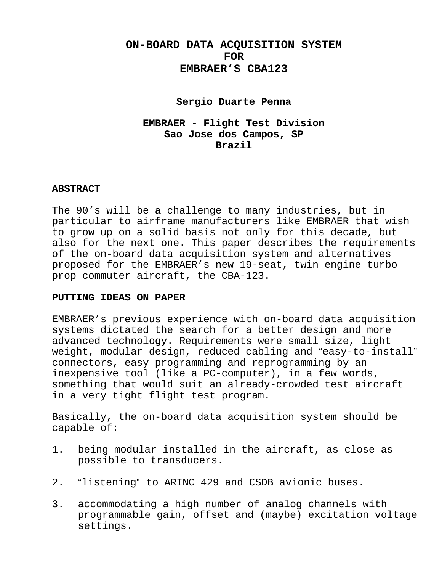# **ON-BOARD DATA ACQUISITION SYSTEM FOR EMBRAER'S CBA123**

### **Sergio Duarte Penna**

## **EMBRAER - Flight Test Division Sao Jose dos Campos, SP Brazil**

#### **ABSTRACT**

The 90's will be a challenge to many industries, but in particular to airframe manufacturers like EMBRAER that wish to grow up on a solid basis not only for this decade, but also for the next one. This paper describes the requirements of the on-board data acquisition system and alternatives proposed for the EMBRAER's new 19-seat, twin engine turbo prop commuter aircraft, the CBA-123.

#### **PUTTING IDEAS ON PAPER**

EMBRAER's previous experience with on-board data acquisition systems dictated the search for a better design and more advanced technology. Requirements were small size, light weight, modular design, reduced cabling and "easy-to-install" connectors, easy programming and reprogramming by an inexpensive tool (like a PC-computer), in a few words, something that would suit an already-crowded test aircraft in a very tight flight test program.

Basically, the on-board data acquisition system should be capable of:

- 1. being modular installed in the aircraft, as close as possible to transducers.
- 2. "listening" to ARINC 429 and CSDB avionic buses.
- 3. accommodating a high number of analog channels with programmable gain, offset and (maybe) excitation voltage settings.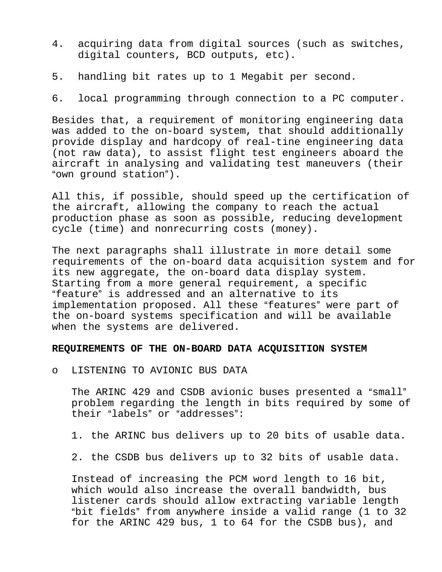- 4. acquiring data from digital sources (such as switches, digital counters, BCD outputs, etc).
- 5. handling bit rates up to 1 Megabit per second.
- 6. local programming through connection to a PC computer.

Besides that, a requirement of monitoring engineering data was added to the on-board system, that should additionally provide display and hardcopy of real-tine engineering data (not raw data), to assist flight test engineers aboard the aircraft in analysing and validating test maneuvers (their "own ground station").

All this, if possible, should speed up the certification of the aircraft, allowing the company to reach the actual production phase as soon as possible, reducing development cycle (time) and nonrecurring costs (money).

The next paragraphs shall illustrate in more detail some requirements of the on-board data acquisition system and for its new aggregate, the on-board data display system. Starting from a more general requirement, a specific "feature" is addressed and an alternative to its implementation proposed. All these "features" were part of the on-board systems specification and will be available when the systems are delivered.

#### **REQUIREMENTS OF THE ON-BOARD DATA ACQUISITION SYSTEM**

o LISTENING TO AVIONIC BUS DATA

The ARINC 429 and CSDB avionic buses presented a "small" problem regarding the length in bits required by some of their "labels" or "addresses":

1. the ARINC bus delivers up to 20 bits of usable data.

2. the CSDB bus delivers up to 32 bits of usable data.

Instead of increasing the PCM word length to 16 bit, which would also increase the overall bandwidth, bus listener cards should allow extracting variable length "bit fields" from anywhere inside a valid range (1 to 32 for the ARINC 429 bus, 1 to 64 for the CSDB bus), and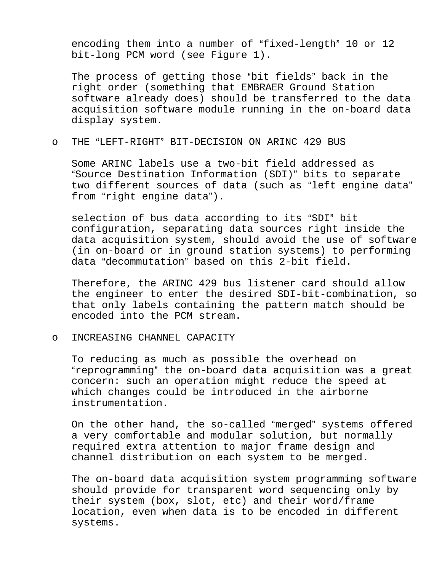encoding them into a number of "fixed-length" 10 or 12 bit-long PCM word (see Figure 1).

The process of getting those "bit fields" back in the right order (something that EMBRAER Ground Station software already does) should be transferred to the data acquisition software module running in the on-board data display system.

o THE "LEFT-RIGHT" BIT-DECISION ON ARINC 429 BUS

Some ARINC labels use a two-bit field addressed as "Source Destination Information (SDI)" bits to separate two different sources of data (such as "left engine data" from "right engine data").

selection of bus data according to its "SDI" bit configuration, separating data sources right inside the data acquisition system, should avoid the use of software (in on-board or in ground station systems) to performing data "decommutation" based on this 2-bit field.

Therefore, the ARINC 429 bus listener card should allow the engineer to enter the desired SDI-bit-combination, so that only labels containing the pattern match should be encoded into the PCM stream.

o INCREASING CHANNEL CAPACITY

To reducing as much as possible the overhead on "reprogramming" the on-board data acquisition was a great concern: such an operation might reduce the speed at which changes could be introduced in the airborne instrumentation.

On the other hand, the so-called "merged" systems offered a very comfortable and modular solution, but normally required extra attention to major frame design and channel distribution on each system to be merged.

The on-board data acquisition system programming software should provide for transparent word sequencing only by their system (box, slot, etc) and their word/frame location, even when data is to be encoded in different systems.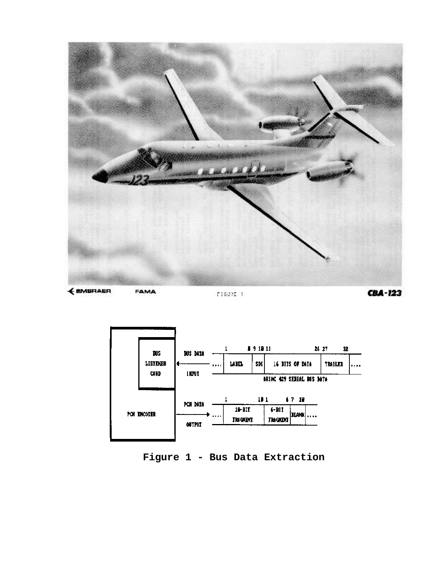



**Figure 1 - Bus Data Extraction**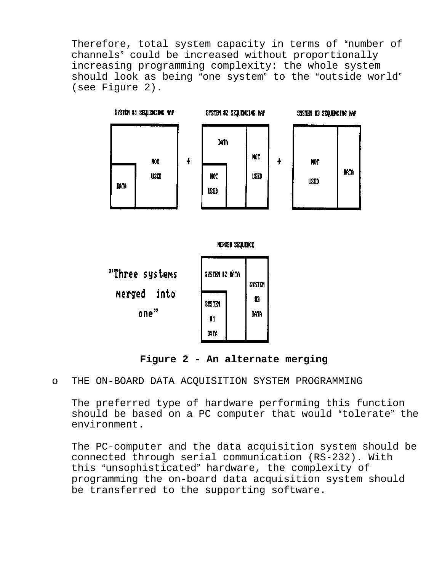Therefore, total system capacity in terms of "number of channels" could be increased without proportionally increasing programming complexity: the whole system should look as being "one system" to the "outside world" (see Figure 2).



**Figure 2 - An alternate merging**

o THE ON-BOARD DATA ACQUISITION SYSTEM PROGRAMMING

The preferred type of hardware performing this function should be based on a PC computer that would "tolerate" the environment.

The PC-computer and the data acquisition system should be connected through serial communication (RS-232). With this "unsophisticated" hardware, the complexity of programming the on-board data acquisition system should be transferred to the supporting software.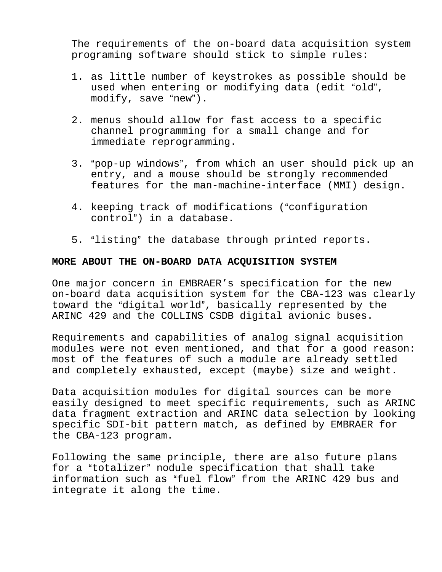The requirements of the on-board data acquisition system programing software should stick to simple rules:

- 1. as little number of keystrokes as possible should be used when entering or modifying data (edit "old",  $modify, save "new".$
- 2. menus should allow for fast access to a specific channel programming for a small change and for immediate reprogramming.
- 3. "pop-up windows", from which an user should pick up an entry, and a mouse should be strongly recommended features for the man-machine-interface (MMI) design.
- 4. keeping track of modifications ("configuration control") in a database.
- 5. "listing" the database through printed reports.

### **MORE ABOUT THE ON-BOARD DATA ACQUISITION SYSTEM**

One major concern in EMBRAER's specification for the new on-board data acquisition system for the CBA-123 was clearly toward the "digital world", basically represented by the ARINC 429 and the COLLINS CSDB digital avionic buses.

Requirements and capabilities of analog signal acquisition modules were not even mentioned, and that for a good reason: most of the features of such a module are already settled and completely exhausted, except (maybe) size and weight.

Data acquisition modules for digital sources can be more easily designed to meet specific requirements, such as ARINC data fragment extraction and ARINC data selection by looking specific SDI-bit pattern match, as defined by EMBRAER for the CBA-123 program.

Following the same principle, there are also future plans for a "totalizer" nodule specification that shall take information such as "fuel flow" from the ARINC 429 bus and integrate it along the time.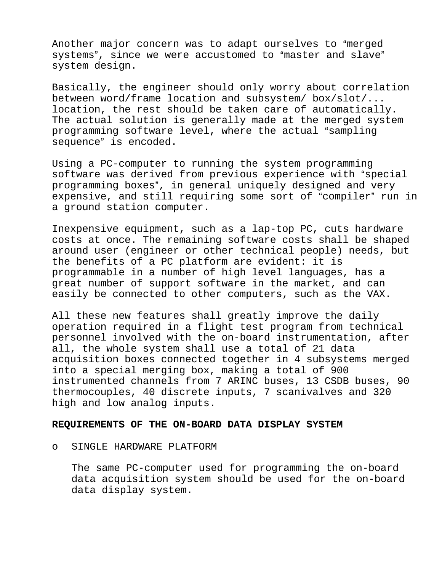Another major concern was to adapt ourselves to "merged systems", since we were accustomed to "master and slave" system design.

Basically, the engineer should only worry about correlation between word/frame location and subsystem/ box/slot/... location, the rest should be taken care of automatically. The actual solution is generally made at the merged system programming software level, where the actual "sampling sequence" is encoded.

Using a PC-computer to running the system programming software was derived from previous experience with "special programming boxes", in general uniquely designed and very expensive, and still requiring some sort of "compiler" run in a ground station computer.

Inexpensive equipment, such as a lap-top PC, cuts hardware costs at once. The remaining software costs shall be shaped around user (engineer or other technical people) needs, but the benefits of a PC platform are evident: it is programmable in a number of high level languages, has a great number of support software in the market, and can easily be connected to other computers, such as the VAX.

All these new features shall greatly improve the daily operation required in a flight test program from technical personnel involved with the on-board instrumentation, after all, the whole system shall use a total of 21 data acquisition boxes connected together in 4 subsystems merged into a special merging box, making a total of 900 instrumented channels from 7 ARINC buses, 13 CSDB buses, 90 thermocouples, 40 discrete inputs, 7 scanivalves and 320 high and low analog inputs.

#### **REQUIREMENTS OF THE ON-BOARD DATA DISPLAY SYSTEM**

o SINGLE HARDWARE PLATFORM

The same PC-computer used for programming the on-board data acquisition system should be used for the on-board data display system.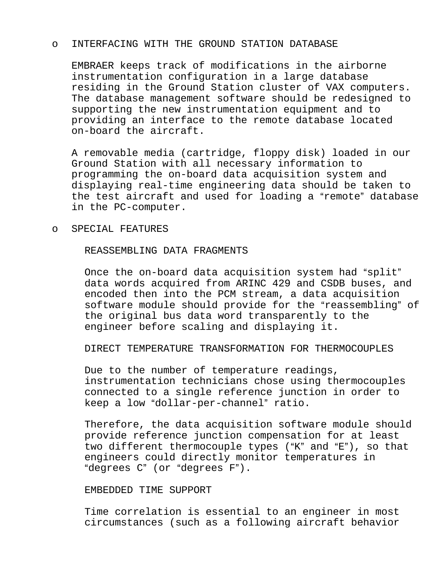#### o INTERFACING WITH THE GROUND STATION DATABASE

EMBRAER keeps track of modifications in the airborne instrumentation configuration in a large database residing in the Ground Station cluster of VAX computers. The database management software should be redesigned to supporting the new instrumentation equipment and to providing an interface to the remote database located on-board the aircraft.

A removable media (cartridge, floppy disk) loaded in our Ground Station with all necessary information to programming the on-board data acquisition system and displaying real-time engineering data should be taken to the test aircraft and used for loading a "remote" database in the PC-computer.

o SPECIAL FEATURES

REASSEMBLING DATA FRAGMENTS

Once the on-board data acquisition system had "split" data words acquired from ARINC 429 and CSDB buses, and encoded then into the PCM stream, a data acquisition software module should provide for the "reassembling" of the original bus data word transparently to the engineer before scaling and displaying it.

DIRECT TEMPERATURE TRANSFORMATION FOR THERMOCOUPLES

Due to the number of temperature readings, instrumentation technicians chose using thermocouples connected to a single reference junction in order to keep a low "dollar-per-channel" ratio.

Therefore, the data acquisition software module should provide reference junction compensation for at least two different thermocouple types ("K" and "E"), so that engineers could directly monitor temperatures in "degrees C" (or "degrees F").

### EMBEDDED TIME SUPPORT

Time correlation is essential to an engineer in most circumstances (such as a following aircraft behavior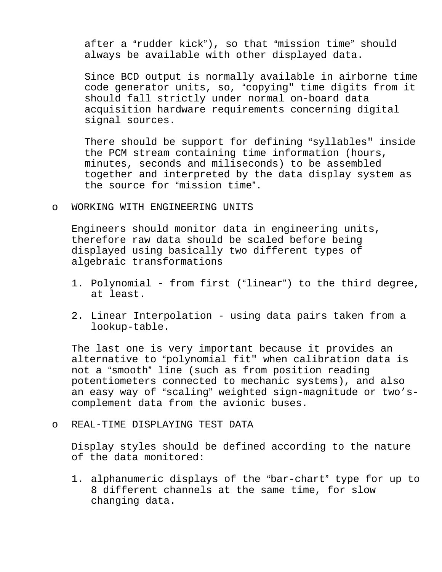after a "rudder kick"), so that "mission time" should always be available with other displayed data.

Since BCD output is normally available in airborne time code generator units, so, "copying" time digits from it should fall strictly under normal on-board data acquisition hardware requirements concerning digital signal sources.

There should be support for defining "syllables" inside the PCM stream containing time information (hours, minutes, seconds and miliseconds) to be assembled together and interpreted by the data display system as the source for "mission time".

o WORKING WITH ENGINEERING UNITS

Engineers should monitor data in engineering units, therefore raw data should be scaled before being displayed using basically two different types of algebraic transformations

- 1. Polynomial from first ("linear") to the third degree, at least.
- 2. Linear Interpolation using data pairs taken from a lookup-table.

The last one is very important because it provides an alternative to "polynomial fit" when calibration data is not a "smooth" line (such as from position reading potentiometers connected to mechanic systems), and also an easy way of "scaling" weighted sign-magnitude or two'scomplement data from the avionic buses.

o REAL-TIME DISPLAYING TEST DATA

Display styles should be defined according to the nature of the data monitored:

1. alphanumeric displays of the "bar-chart" type for up to 8 different channels at the same time, for slow changing data.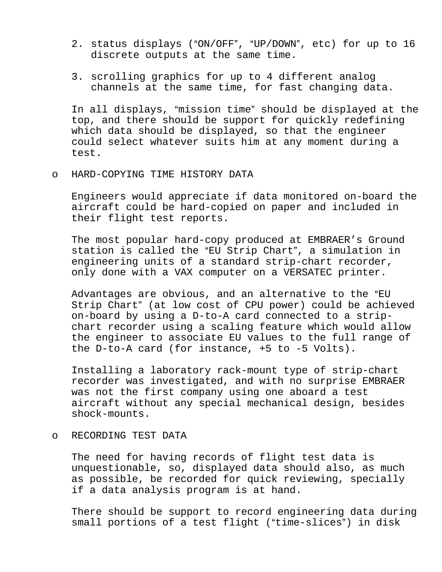- 2. status displays ("ON/OFF", "UP/DOWN", etc) for up to 16 discrete outputs at the same time.
- 3. scrolling graphics for up to 4 different analog channels at the same time, for fast changing data.

In all displays, "mission time" should be displayed at the top, and there should be support for quickly redefining which data should be displayed, so that the engineer could select whatever suits him at any moment during a test.

o HARD-COPYING TIME HISTORY DATA

Engineers would appreciate if data monitored on-board the aircraft could be hard-copied on paper and included in their flight test reports.

The most popular hard-copy produced at EMBRAER's Ground station is called the "EU Strip Chart", a simulation in engineering units of a standard strip-chart recorder, only done with a VAX computer on a VERSATEC printer.

Advantages are obvious, and an alternative to the "EU Strip Chart" (at low cost of CPU power) could be achieved on-board by using a D-to-A card connected to a stripchart recorder using a scaling feature which would allow the engineer to associate EU values to the full range of the D-to-A card (for instance, +5 to -5 Volts).

Installing a laboratory rack-mount type of strip-chart recorder was investigated, and with no surprise EMBRAER was not the first company using one aboard a test aircraft without any special mechanical design, besides shock-mounts.

#### o RECORDING TEST DATA

The need for having records of flight test data is unquestionable, so, displayed data should also, as much as possible, be recorded for quick reviewing, specially if a data analysis program is at hand.

There should be support to record engineering data during small portions of a test flight ("time-slices") in disk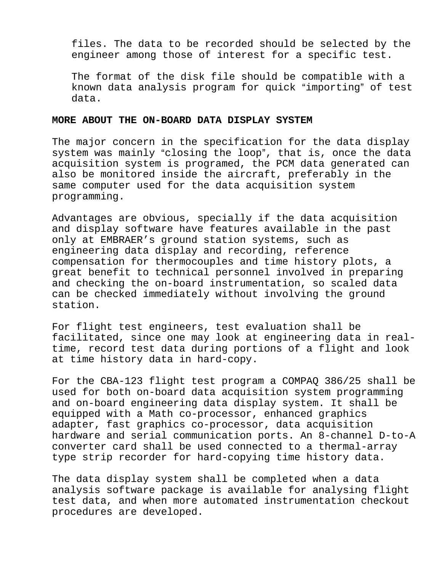files. The data to be recorded should be selected by the engineer among those of interest for a specific test.

The format of the disk file should be compatible with a known data analysis program for quick "importing" of test data.

#### **MORE ABOUT THE ON-BOARD DATA DISPLAY SYSTEM**

The major concern in the specification for the data display system was mainly "closing the loop", that is, once the data acquisition system is programed, the PCM data generated can also be monitored inside the aircraft, preferably in the same computer used for the data acquisition system programming.

Advantages are obvious, specially if the data acquisition and display software have features available in the past only at EMBRAER's ground station systems, such as engineering data display and recording, reference compensation for thermocouples and time history plots, a great benefit to technical personnel involved in preparing and checking the on-board instrumentation, so scaled data can be checked immediately without involving the ground station.

For flight test engineers, test evaluation shall be facilitated, since one may look at engineering data in realtime, record test data during portions of a flight and look at time history data in hard-copy.

For the CBA-123 flight test program a COMPAQ 386/25 shall be used for both on-board data acquisition system programming and on-board engineering data display system. It shall be equipped with a Math co-processor, enhanced graphics adapter, fast graphics co-processor, data acquisition hardware and serial communication ports. An 8-channel D-to-A converter card shall be used connected to a thermal-array type strip recorder for hard-copying time history data.

The data display system shall be completed when a data analysis software package is available for analysing flight test data, and when more automated instrumentation checkout procedures are developed.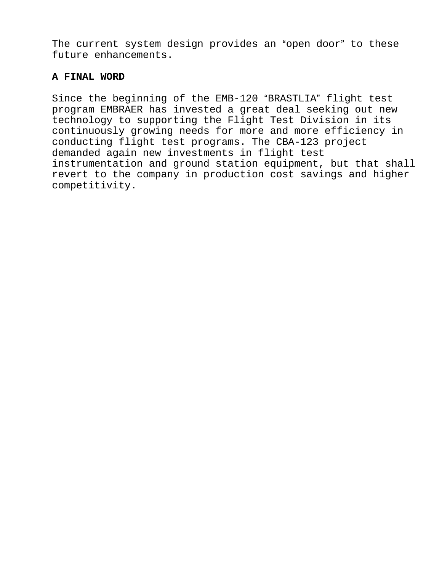The current system design provides an "open door" to these future enhancements.

### **A FINAL WORD**

Since the beginning of the EMB-120 "BRASTLIA" flight test program EMBRAER has invested a great deal seeking out new technology to supporting the Flight Test Division in its continuously growing needs for more and more efficiency in conducting flight test programs. The CBA-123 project demanded again new investments in flight test instrumentation and ground station equipment, but that shall revert to the company in production cost savings and higher competitivity.